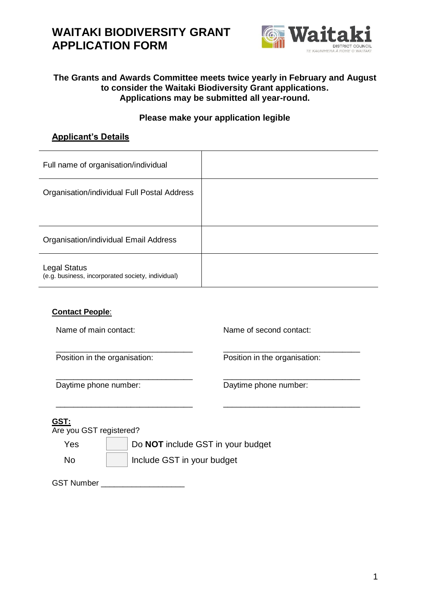

### **The Grants and Awards Committee meets twice yearly in February and August to consider the Waitaki Biodiversity Grant applications. Applications may be submitted all year-round.**

### **Please make your application legible**

### **Applicant's Details**

| Full name of organisation/individual                                     |  |
|--------------------------------------------------------------------------|--|
| Organisation/individual Full Postal Address                              |  |
|                                                                          |  |
| Organisation/individual Email Address                                    |  |
| <b>Legal Status</b><br>(e.g. business, incorporated society, individual) |  |

\_\_\_\_\_\_\_\_\_\_\_\_\_\_\_\_\_\_\_\_\_\_\_\_\_\_\_\_\_\_\_ \_\_\_\_\_\_\_\_\_\_\_\_\_\_\_\_\_\_\_\_\_\_\_\_\_\_\_\_\_\_\_

\_\_\_\_\_\_\_\_\_\_\_\_\_\_\_\_\_\_\_\_\_\_\_\_\_\_\_\_\_\_\_ \_\_\_\_\_\_\_\_\_\_\_\_\_\_\_\_\_\_\_\_\_\_\_\_\_\_\_\_\_\_\_

### **Contact People**:

Name of main contact: Name of second contact:

Position in the organisation: Position in the organisation:

\_\_\_\_\_\_\_\_\_\_\_\_\_\_\_\_\_\_\_\_\_\_\_\_\_\_\_\_\_\_\_ \_\_\_\_\_\_\_\_\_\_\_\_\_\_\_\_\_\_\_\_\_\_\_\_\_\_\_\_\_\_\_ Daytime phone number: Daytime phone number:

### **GST:**

Are you GST registered?

Yes **Do NOT** include GST in your budget No Include GST in your budget

GST Number \_\_\_\_\_\_\_\_\_\_\_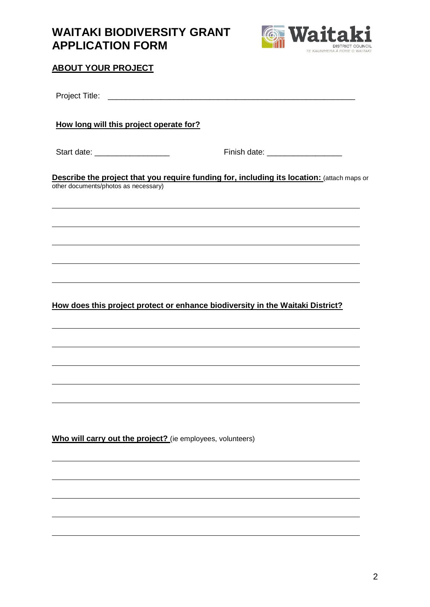

## **ABOUT YOUR PROJECT**

| How long will this project operate for?                    |                                                                                            |  |
|------------------------------------------------------------|--------------------------------------------------------------------------------------------|--|
| Start date: __________________                             | Finish date: ____________________                                                          |  |
| other documents/photos as necessary)                       | Describe the project that you require funding for, including its location: (attach maps or |  |
|                                                            | ,我们也不会有什么。""我们的人,我们也不会有什么?""我们的人,我们也不会有什么?""我们的人,我们也不会有什么?""我们的人,我们也不会有什么?""我们的人           |  |
|                                                            |                                                                                            |  |
|                                                            |                                                                                            |  |
|                                                            | How does this project protect or enhance biodiversity in the Waitaki District?             |  |
|                                                            |                                                                                            |  |
|                                                            |                                                                                            |  |
|                                                            |                                                                                            |  |
|                                                            |                                                                                            |  |
| Who will carry out the project? (ie employees, volunteers) |                                                                                            |  |
|                                                            |                                                                                            |  |
|                                                            |                                                                                            |  |
|                                                            |                                                                                            |  |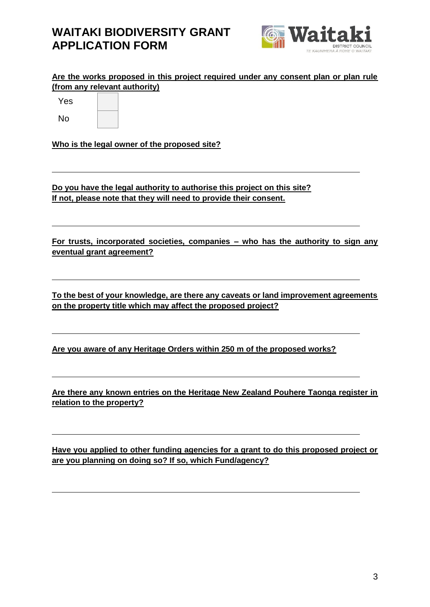

**Are the works proposed in this project required under any consent plan or plan rule (from any relevant authority)** 

Yes

No

**Who is the legal owner of the proposed site?**

**Do you have the legal authority to authorise this project on this site? If not, please note that they will need to provide their consent.**

**For trusts, incorporated societies, companies – who has the authority to sign any eventual grant agreement?**

**To the best of your knowledge, are there any caveats or land improvement agreements on the property title which may affect the proposed project?**

**Are you aware of any Heritage Orders within 250 m of the proposed works?**

**Are there any known entries on the Heritage New Zealand Pouhere Taonga register in relation to the property?**

**Have you applied to other funding agencies for a grant to do this proposed project or are you planning on doing so? If so, which Fund/agency?**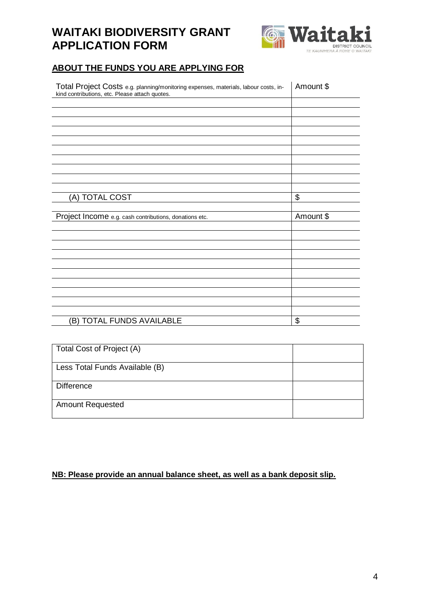

## **ABOUT THE FUNDS YOU ARE APPLYING FOR**

| Total Project Costs e.g. planning/monitoring expenses, materials, labour costs, in-<br>kind contributions, etc. Please attach quotes. | Amount \$ |
|---------------------------------------------------------------------------------------------------------------------------------------|-----------|
|                                                                                                                                       |           |
|                                                                                                                                       |           |
|                                                                                                                                       |           |
|                                                                                                                                       |           |
|                                                                                                                                       |           |
|                                                                                                                                       |           |
|                                                                                                                                       |           |
|                                                                                                                                       |           |
|                                                                                                                                       |           |
|                                                                                                                                       |           |
| (A) TOTAL COST                                                                                                                        | \$        |
|                                                                                                                                       |           |
| Project Income e.g. cash contributions, donations etc.                                                                                | Amount \$ |
|                                                                                                                                       |           |
|                                                                                                                                       |           |
|                                                                                                                                       |           |
|                                                                                                                                       |           |
|                                                                                                                                       |           |
|                                                                                                                                       |           |
|                                                                                                                                       |           |
|                                                                                                                                       |           |
|                                                                                                                                       |           |
|                                                                                                                                       |           |
| (B) TOTAL FUNDS AVAILABLE                                                                                                             | \$        |

| Total Cost of Project (A)      |  |
|--------------------------------|--|
| Less Total Funds Available (B) |  |
| <b>Difference</b>              |  |
| <b>Amount Requested</b>        |  |

## **NB: Please provide an annual balance sheet, as well as a bank deposit slip.**